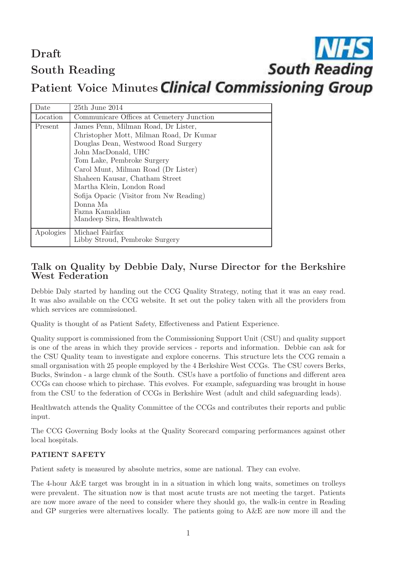Draft South Reading

# **South Reading**

Patient Voice Minutes Clinical Commissioning Group

| Date      | $25th$ June $2014$                       |
|-----------|------------------------------------------|
| Location  | Communicare Offices at Cemetery Junction |
| Present   | James Penn, Milman Road, Dr Lister,      |
|           | Christopher Mott, Milman Road, Dr Kumar  |
|           | Douglas Dean, Westwood Road Surgery      |
|           | John MacDonald, UHC                      |
|           | Tom Lake, Pembroke Surgery               |
|           | Carol Munt, Milman Road (Dr Lister)      |
|           | Shaheen Kausar, Chatham Street           |
|           | Martha Klein, London Road                |
|           | Sofija Opacic (Visitor from Nw Reading)  |
|           | Donna Ma                                 |
|           | Fazna Kamaldian                          |
|           | Mandeep Sira, Healthwatch                |
| Apologies | Michael Fairfax                          |
|           | Libby Stroud, Pembroke Surgery           |

## Talk on Quality by Debbie Daly, Nurse Director for the Berkshire West Federation

Debbie Daly started by handing out the CCG Quality Strategy, noting that it was an easy read. It was also available on the CCG website. It set out the policy taken with all the providers from which services are commissioned.

Quality is thought of as Patient Safety, Effectiveness and Patient Experience.

Quality support is commissioned from the Commissioning Support Unit (CSU) and quality support is one of the areas in which they provide services - reports and information. Debbie can ask for the CSU Quality team to investigate and explore concerns. This structure lets the CCG remain a small organisation with 25 people employed by the 4 Berkshire West CCGs. The CSU covers Berks, Bucks, Swindon - a large chunk of the South. CSUs have a portfolio of functions and different area CCGs can choose which to pirchase. This evolves. For example, safeguarding was brought in house from the CSU to the federation of CCGs in Berkshire West (adult and child safeguarding leads).

Healthwatch attends the Quality Committee of the CCGs and contributes their reports and public input.

The CCG Governing Body looks at the Quality Scorecard comparing performances against other local hospitals.

#### PATIENT SAFETY

Patient safety is measured by absolute metrics, some are national. They can evolve.

The 4-hour A&E target was brought in in a situation in which long waits, sometimes on trolleys were prevalent. The situation now is that most acute trusts are not meeting the target. Patients are now more aware of the need to consider where they should go, the walk-in centre in Reading and GP surgeries were alternatives locally. The patients going to A&E are now more ill and the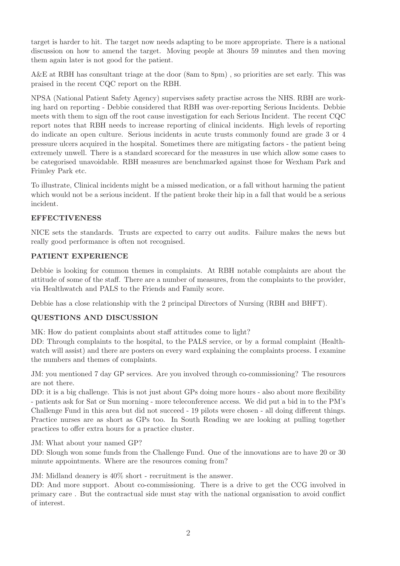target is harder to hit. The target now needs adapting to be more appropriate. There is a national discussion on how to amend the target. Moving people at 3hours 59 minutes and then moving them again later is not good for the patient.

A&E at RBH has consultant triage at the door (8am to 8pm) , so priorities are set early. This was praised in the recent CQC report on the RBH.

NPSA (National Patient Safety Agency) supervises safety practise across the NHS. RBH are working hard on reporting - Debbie considered that RBH was over-reporting Serious Incidents. Debbie meets with them to sign off the root cause investigation for each Serious Incident. The recent CQC report notes that RBH needs to increase reporting of clinical incidents. High levels of reporting do indicate an open culture. Serious incidents in acute trusts commonly found are grade 3 or 4 pressure ulcers acquired in the hospital. Sometimes there are mitigating factors - the patient being extremely unwell. There is a standard scorecard for the measures in use which allow some cases to be categorised unavoidable. RBH measures are benchmarked against those for Wexham Park and Frimley Park etc.

To illustrate, Clinical incidents might be a missed medication, or a fall without harming the patient which would not be a serious incident. If the patient broke their hip in a fall that would be a serious incident.

#### EFFECTIVENESS

NICE sets the standards. Trusts are expected to carry out audits. Failure makes the news but really good performance is often not recognised.

#### PATIENT EXPERIENCE

Debbie is looking for common themes in complaints. At RBH notable complaints are about the attitude of some of the staff. There are a number of measures, from the complaints to the provider, via Healthwatch and PALS to the Friends and Family score.

Debbie has a close relationship with the 2 principal Directors of Nursing (RBH and BHFT).

#### QUESTIONS AND DISCUSSION

MK: How do patient complaints about staff attitudes come to light?

DD: Through complaints to the hospital, to the PALS service, or by a formal complaint (Healthwatch will assist) and there are posters on every ward explaining the complaints process. I examine the numbers and themes of complaints.

JM: you mentioned 7 day GP services. Are you involved through co-commissioning? The resources are not there.

DD: it is a big challenge. This is not just about GPs doing more hours - also about more flexibility - patients ask for Sat or Sun morning - more teleconference access. We did put a bid in to the PM's Challenge Fund in this area but did not succeed - 19 pilots were chosen - all doing different things. Practice nurses are as short as GPs too. In South Reading we are looking at pulling together practices to offer extra hours for a practice cluster.

JM: What about your named GP?

DD: Slough won some funds from the Challenge Fund. One of the innovations are to have 20 or 30 minute appointments. Where are the resources coming from?

JM: Midland deanery is 40% short - recruitment is the answer.

DD: And more support. About co-commissioning. There is a drive to get the CCG involved in primary care . But the contractual side must stay with the national organisation to avoid conflict of interest.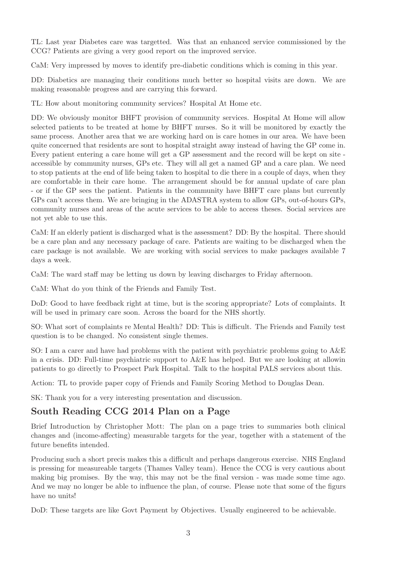TL: Last year Diabetes care was targetted. Was that an enhanced service commissioned by the CCG? Patients are giving a very good report on the improved service.

CaM: Very impressed by moves to identify pre-diabetic conditions which is coming in this year.

DD: Diabetics are managing their conditions much better so hospital visits are down. We are making reasonable progress and are carrying this forward.

TL: How about monitoring community services? Hospital At Home etc.

DD: We obviously monitor BHFT provision of community services. Hospital At Home will allow selected patients to be treated at home by BHFT nurses. So it will be monitored by exactly the same process. Another area that we are working hard on is care homes in our area. We have been quite concerned that residents are sont to hospital straight away instead of having the GP come in. Every patient entering a care home will get a GP assessment and the record will be kept on site accessible by community nurses, GPs etc. They will all get a named GP and a care plan. We need to stop patients at the end of life being taken to hospital to die there in a couple of days, when they are comfortable in their care home. The arrangement should be for annual update of care plan - or if the GP sees the patient. Patients in the community have BHFT care plans but currently GPs can't access them. We are bringing in the ADASTRA system to allow GPs, out-of-hours GPs, community nurses and areas of the acute services to be able to access theses. Social services are not yet able to use this.

CaM: If an elderly patient is discharged what is the assessment? DD: By the hospital. There should be a care plan and any necessary package of care. Patients are waiting to be discharged when the care package is not available. We are working with social services to make packages available 7 days a week.

CaM: The ward staff may be letting us down by leaving discharges to Friday afternoon.

CaM: What do you think of the Friends and Family Test.

DoD: Good to have feedback right at time, but is the scoring appropriate? Lots of complaints. It will be used in primary care soon. Across the board for the NHS shortly.

SO: What sort of complaints re Mental Health? DD: This is difficult. The Friends and Family test question is to be changed. No consistent single themes.

SO: I am a carer and have had problems with the patient with psychiatric problems going to A&E in a crisis. DD: Full-time psychiatric support to A&E has helped. But we are looking at allowin patients to go directly to Prospect Park Hospital. Talk to the hospital PALS services about this.

Action: TL to provide paper copy of Friends and Family Scoring Method to Douglas Dean.

SK: Thank you for a very interesting presentation and discussion.

### South Reading CCG 2014 Plan on a Page

Brief Introduction by Christopher Mott: The plan on a page tries to summaries both clinical changes and (income-affecting) measurable targets for the year, together with a statement of the future benefits intended.

Producing such a short precis makes this a difficult and perhaps dangerous exercise. NHS England is pressing for measureable targets (Thames Valley team). Hence the CCG is very cautious about making big promises. By the way, this may not be the final version - was made some time ago. And we may no longer be able to influence the plan, of course. Please note that some of the figurs have no units!

DoD: These targets are like Govt Payment by Objectives. Usually engineered to be achievable.